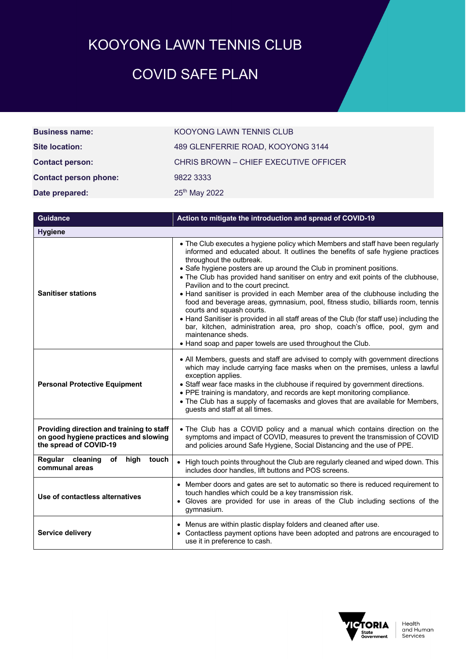## KOOYONG LAWN TENNIS CLUB

## COVID SAFE PLAN

| <b>Business name:</b>        | KOOYONG LAWN TENNIS CLUB              |
|------------------------------|---------------------------------------|
| Site location:               | 489 GLENFERRIE ROAD, KOOYONG 3144     |
| <b>Contact person:</b>       | CHRIS BROWN - CHIEF EXECUTIVE OFFICER |
| <b>Contact person phone:</b> | 9822 3333                             |
| Date prepared:               | 25 <sup>th</sup> May 2022             |

| <b>Guidance</b>                                                                                              | Action to mitigate the introduction and spread of COVID-19                                                                                                                                                                                                                                                                                                                                                                                                                                                                                                                                                                                                                                                                                                                                                                                                              |  |
|--------------------------------------------------------------------------------------------------------------|-------------------------------------------------------------------------------------------------------------------------------------------------------------------------------------------------------------------------------------------------------------------------------------------------------------------------------------------------------------------------------------------------------------------------------------------------------------------------------------------------------------------------------------------------------------------------------------------------------------------------------------------------------------------------------------------------------------------------------------------------------------------------------------------------------------------------------------------------------------------------|--|
| <b>Hygiene</b>                                                                                               |                                                                                                                                                                                                                                                                                                                                                                                                                                                                                                                                                                                                                                                                                                                                                                                                                                                                         |  |
| <b>Sanitiser stations</b>                                                                                    | • The Club executes a hygiene policy which Members and staff have been regularly<br>informed and educated about. It outlines the benefits of safe hygiene practices<br>throughout the outbreak.<br>• Safe hygiene posters are up around the Club in prominent positions.<br>• The Club has provided hand sanitiser on entry and exit points of the clubhouse,<br>Pavilion and to the court precinct.<br>• Hand sanitiser is provided in each Member area of the clubhouse including the<br>food and beverage areas, gymnasium, pool, fitness studio, billiards room, tennis<br>courts and squash courts.<br>• Hand Sanitiser is provided in all staff areas of the Club (for staff use) including the<br>bar, kitchen, administration area, pro shop, coach's office, pool, gym and<br>maintenance sheds.<br>• Hand soap and paper towels are used throughout the Club. |  |
| <b>Personal Protective Equipment</b>                                                                         | • All Members, guests and staff are advised to comply with government directions<br>which may include carrying face masks when on the premises, unless a lawful<br>exception applies.<br>• Staff wear face masks in the clubhouse if required by government directions.<br>• PPE training is mandatory, and records are kept monitoring compliance.<br>• The Club has a supply of facemasks and gloves that are available for Members,<br>guests and staff at all times.                                                                                                                                                                                                                                                                                                                                                                                                |  |
| Providing direction and training to staff<br>on good hygiene practices and slowing<br>the spread of COVID-19 | . The Club has a COVID policy and a manual which contains direction on the<br>symptoms and impact of COVID, measures to prevent the transmission of COVID<br>and policies around Safe Hygiene, Social Distancing and the use of PPE.                                                                                                                                                                                                                                                                                                                                                                                                                                                                                                                                                                                                                                    |  |
| high<br>Regular cleaning<br>of<br>touch<br>communal areas                                                    | • High touch points throughout the Club are regularly cleaned and wiped down. This<br>includes door handles, lift buttons and POS screens.                                                                                                                                                                                                                                                                                                                                                                                                                                                                                                                                                                                                                                                                                                                              |  |
| Use of contactless alternatives                                                                              | • Member doors and gates are set to automatic so there is reduced requirement to<br>touch handles which could be a key transmission risk.<br>• Gloves are provided for use in areas of the Club including sections of the<br>gymnasium.                                                                                                                                                                                                                                                                                                                                                                                                                                                                                                                                                                                                                                 |  |
| <b>Service delivery</b>                                                                                      | • Menus are within plastic display folders and cleaned after use.<br>• Contactless payment options have been adopted and patrons are encouraged to<br>use it in preference to cash.                                                                                                                                                                                                                                                                                                                                                                                                                                                                                                                                                                                                                                                                                     |  |

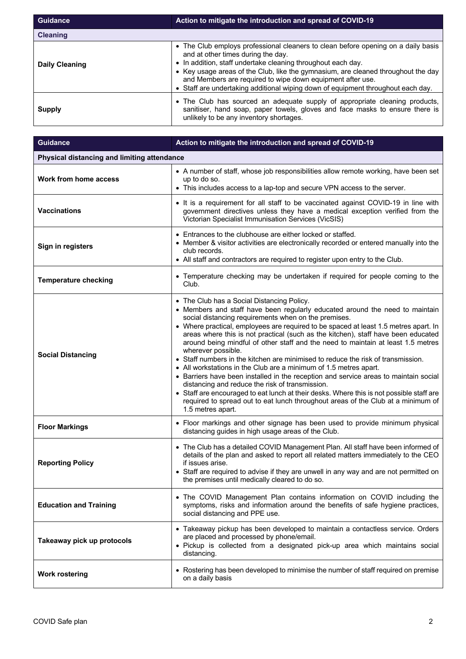| <b>Guidance</b>       | Action to mitigate the introduction and spread of COVID-19                                                                                                                                                                                                                                                                                                                                                                     |  |
|-----------------------|--------------------------------------------------------------------------------------------------------------------------------------------------------------------------------------------------------------------------------------------------------------------------------------------------------------------------------------------------------------------------------------------------------------------------------|--|
| <b>Cleaning</b>       |                                                                                                                                                                                                                                                                                                                                                                                                                                |  |
| <b>Daily Cleaning</b> | • The Club employs professional cleaners to clean before opening on a daily basis<br>and at other times during the day.<br>• In addition, staff undertake cleaning throughout each day.<br>• Key usage areas of the Club, like the gymnasium, are cleaned throughout the day<br>and Members are required to wipe down equipment after use.<br>• Staff are undertaking additional wiping down of equipment throughout each day. |  |
| <b>Supply</b>         | • The Club has sourced an adequate supply of appropriate cleaning products,<br>sanitiser, hand soap, paper towels, gloves and face masks to ensure there is<br>unlikely to be any inventory shortages.                                                                                                                                                                                                                         |  |

| <b>Guidance</b>                             | Action to mitigate the introduction and spread of COVID-19                                                                                                                                                                                                                                                                                                                                                                                                                                                                                                                                                                                                                                                                                                                                                                                                                                                                                                                         |  |
|---------------------------------------------|------------------------------------------------------------------------------------------------------------------------------------------------------------------------------------------------------------------------------------------------------------------------------------------------------------------------------------------------------------------------------------------------------------------------------------------------------------------------------------------------------------------------------------------------------------------------------------------------------------------------------------------------------------------------------------------------------------------------------------------------------------------------------------------------------------------------------------------------------------------------------------------------------------------------------------------------------------------------------------|--|
| Physical distancing and limiting attendance |                                                                                                                                                                                                                                                                                                                                                                                                                                                                                                                                                                                                                                                                                                                                                                                                                                                                                                                                                                                    |  |
| <b>Work from home access</b>                | • A number of staff, whose job responsibilities allow remote working, have been set<br>up to do so.<br>• This includes access to a lap-top and secure VPN access to the server.                                                                                                                                                                                                                                                                                                                                                                                                                                                                                                                                                                                                                                                                                                                                                                                                    |  |
| <b>Vaccinations</b>                         | • It is a requirement for all staff to be vaccinated against COVID-19 in line with<br>government directives unless they have a medical exception verified from the<br>Victorian Specialist Immunisation Services (VicSIS)                                                                                                                                                                                                                                                                                                                                                                                                                                                                                                                                                                                                                                                                                                                                                          |  |
| Sign in registers                           | • Entrances to the clubhouse are either locked or staffed.<br>• Member & visitor activities are electronically recorded or entered manually into the<br>club records.<br>• All staff and contractors are required to register upon entry to the Club.                                                                                                                                                                                                                                                                                                                                                                                                                                                                                                                                                                                                                                                                                                                              |  |
| <b>Temperature checking</b>                 | • Temperature checking may be undertaken if required for people coming to the<br>Club.                                                                                                                                                                                                                                                                                                                                                                                                                                                                                                                                                                                                                                                                                                                                                                                                                                                                                             |  |
| <b>Social Distancing</b>                    | • The Club has a Social Distancing Policy.<br>• Members and staff have been regularly educated around the need to maintain<br>social distancing requirements when on the premises.<br>• Where practical, employees are required to be spaced at least 1.5 metres apart. In<br>areas where this is not practical (such as the kitchen), staff have been educated<br>around being mindful of other staff and the need to maintain at least 1.5 metres<br>wherever possible.<br>• Staff numbers in the kitchen are minimised to reduce the risk of transmission.<br>• All workstations in the Club are a minimum of 1.5 metres apart.<br>• Barriers have been installed in the reception and service areas to maintain social<br>distancing and reduce the risk of transmission.<br>• Staff are encouraged to eat lunch at their desks. Where this is not possible staff are<br>required to spread out to eat lunch throughout areas of the Club at a minimum of<br>1.5 metres apart. |  |
| <b>Floor Markings</b>                       | • Floor markings and other signage has been used to provide minimum physical<br>distancing guides in high usage areas of the Club.                                                                                                                                                                                                                                                                                                                                                                                                                                                                                                                                                                                                                                                                                                                                                                                                                                                 |  |
| <b>Reporting Policy</b>                     | • The Club has a detailed COVID Management Plan. All staff have been informed of<br>details of the plan and asked to report all related matters immediately to the CEO<br>if issues arise.<br>• Staff are required to advise if they are unwell in any way and are not permitted on<br>the premises until medically cleared to do so.                                                                                                                                                                                                                                                                                                                                                                                                                                                                                                                                                                                                                                              |  |
| <b>Education and Training</b>               | • The COVID Management Plan contains information on COVID including the<br>symptoms, risks and information around the benefits of safe hygiene practices,<br>social distancing and PPE use.                                                                                                                                                                                                                                                                                                                                                                                                                                                                                                                                                                                                                                                                                                                                                                                        |  |
| Takeaway pick up protocols                  | • Takeaway pickup has been developed to maintain a contactless service. Orders<br>are placed and processed by phone/email.<br>. Pickup is collected from a designated pick-up area which maintains social<br>distancing.                                                                                                                                                                                                                                                                                                                                                                                                                                                                                                                                                                                                                                                                                                                                                           |  |
| <b>Work rostering</b>                       | • Rostering has been developed to minimise the number of staff required on premise<br>on a daily basis                                                                                                                                                                                                                                                                                                                                                                                                                                                                                                                                                                                                                                                                                                                                                                                                                                                                             |  |